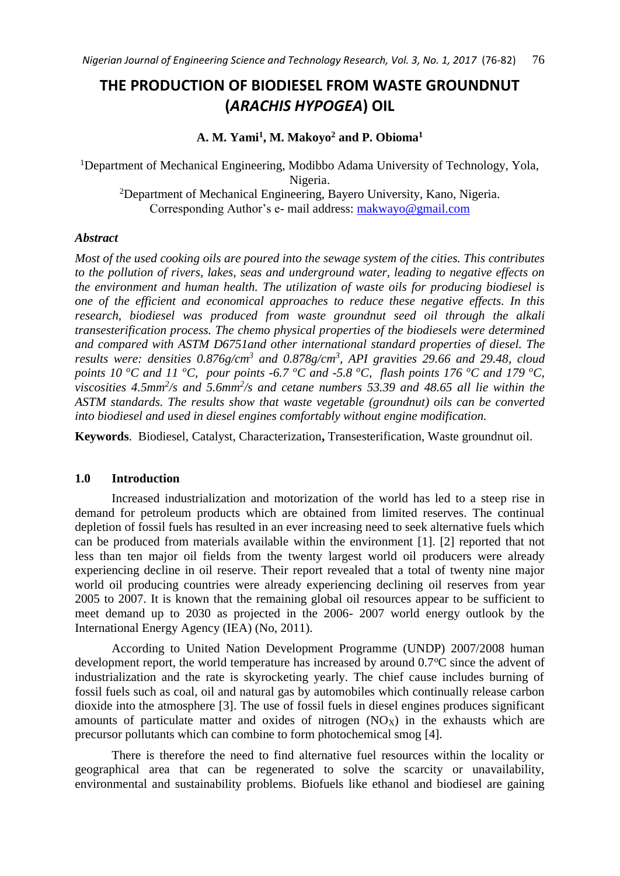# **THE PRODUCTION OF BIODIESEL FROM WASTE GROUNDNUT (***ARACHIS HYPOGEA***) OIL**

# **A. M. Yami<sup>1</sup> , M. Makoyo<sup>2</sup> and P. Obioma<sup>1</sup>**

<sup>1</sup>Department of Mechanical Engineering, Modibbo Adama University of Technology, Yola, Nigeria.

<sup>2</sup>Department of Mechanical Engineering, Bayero University, Kano, Nigeria. Corresponding Author's e- mail address: [makwayo@gmail.com](mailto:makwayo@gmail.com)

### *Abstract*

*Most of the used cooking oils are poured into the sewage system of the cities. This contributes to the pollution of rivers, lakes, seas and underground water, leading to negative effects on the environment and human health. The utilization of waste oils for producing biodiesel is one of the efficient and economical approaches to reduce these negative effects. In this research, biodiesel was produced from waste groundnut seed oil through the alkali transesterification process. The chemo physical properties of the biodiesels were determined and compared with ASTM D6751and other international standard properties of diesel. The results were: densities 0.876g/cm<sup>3</sup> and 0.878g/cm<sup>3</sup> , API gravities 29.66 and 29.48, cloud points 10*  $\degree$ *C and 11*  $\degree$ *C, pour points*  $\degree$ *-6.7*  $\degree$ *C and -5.8*  $\degree$ *C, flash points 176*  $\degree$ *C and 179*  $\degree$ *C,* viscosities 4.5mm<sup>2</sup>/s and 5.6mm<sup>2</sup>/s and cetane numbers 53.39 and 48.65 all lie within the *ASTM standards. The results show that waste vegetable (groundnut) oils can be converted into biodiesel and used in diesel engines comfortably without engine modification.*

**Keywords**. Biodiesel, Catalyst, Characterization**,** Transesterification, Waste groundnut oil.

# **1.0 Introduction**

Increased industrialization and motorization of the world has led to a steep rise in demand for petroleum products which are obtained from limited reserves. The continual depletion of fossil fuels has resulted in an ever increasing need to seek alternative fuels which can be produced from materials available within the environment [1]. [2] reported that not less than ten major oil fields from the twenty largest world oil producers were already experiencing decline in oil reserve. Their report revealed that a total of twenty nine major world oil producing countries were already experiencing declining oil reserves from year 2005 to 2007. It is known that the remaining global oil resources appear to be sufficient to meet demand up to 2030 as projected in the 2006- 2007 world energy outlook by the International Energy Agency (IEA) (No, 2011).

According to United Nation Development Programme (UNDP) 2007/2008 human development report, the world temperature has increased by around  $0.7^{\circ}$ C since the advent of industrialization and the rate is skyrocketing yearly. The chief cause includes burning of fossil fuels such as coal, oil and natural gas by automobiles which continually release carbon dioxide into the atmosphere [3]. The use of fossil fuels in diesel engines produces significant amounts of particulate matter and oxides of nitrogen  $(NO<sub>X</sub>)$  in the exhausts which are precursor pollutants which can combine to form photochemical smog [4].

There is therefore the need to find alternative fuel resources within the locality or geographical area that can be regenerated to solve the scarcity or unavailability, environmental and sustainability problems. Biofuels like ethanol and biodiesel are gaining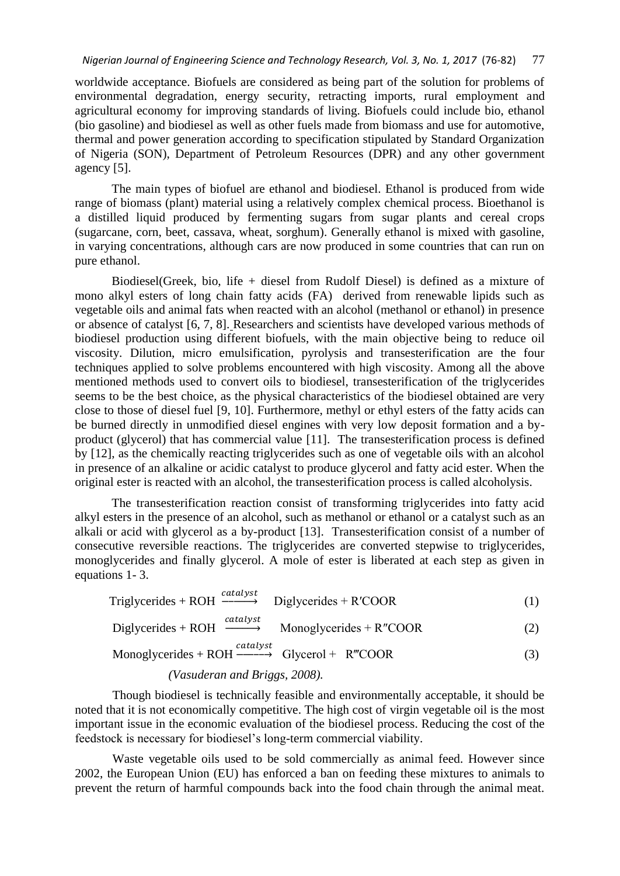worldwide acceptance. Biofuels are considered as being part of the solution for problems of environmental degradation, energy security, retracting imports, rural employment and agricultural economy for improving standards of living. Biofuels could include bio, ethanol (bio gasoline) and biodiesel as well as other fuels made from biomass and use for automotive, thermal and power generation according to specification stipulated by Standard Organization of Nigeria (SON), Department of Petroleum Resources (DPR) and any other government agency [5].

The main types of biofuel are ethanol and biodiesel. Ethanol is produced from wide range of biomass (plant) material using a relatively complex chemical process. Bioethanol is a distilled liquid produced by fermenting sugars from sugar plants and cereal crops (sugarcane, corn, beet, cassava, wheat, sorghum). Generally ethanol is mixed with gasoline, in varying concentrations, although cars are now produced in some countries that can run on pure ethanol.

Biodiesel(Greek, bio, life + diesel from Rudolf Diesel) is defined as a mixture of mono alkyl esters of long chain fatty acids (FA) derived from renewable lipids such as vegetable oils and animal fats when reacted with an alcohol (methanol or ethanol) in presence or absence of catalyst [6, 7, 8]. Researchers and scientists have developed various methods of biodiesel production using different biofuels, with the main objective being to reduce oil viscosity. Dilution, micro emulsification, pyrolysis and transesterification are the four techniques applied to solve problems encountered with high viscosity. Among all the above mentioned methods used to convert oils to biodiesel, transesterification of the triglycerides seems to be the best choice, as the physical characteristics of the biodiesel obtained are very close to those of diesel fuel [9, 10]. Furthermore, methyl or ethyl esters of the fatty acids can be burned directly in unmodified diesel engines with very low deposit formation and a byproduct (glycerol) that has commercial value [11]. The transesterification process is defined by [12], as the chemically reacting triglycerides such as one of vegetable oils with an alcohol in presence of an alkaline or acidic catalyst to produce glycerol and fatty acid ester. When the original ester is reacted with an alcohol, the transesterification process is called alcoholysis.

The transesterification reaction consist of transforming triglycerides into fatty acid alkyl esters in the presence of an alcohol, such as methanol or ethanol or a catalyst such as an alkali or acid with glycerol as a by-product [13]. Transesterification consist of a number of consecutive reversible reactions. The triglycerides are converted stepwise to triglycerides, monoglycerides and finally glycerol. A mole of ester is liberated at each step as given in equations 1- 3.

$$
Triglycerides + ROH \xrightarrow{catalyst} Diglycerides + R'COOR \tag{1}
$$

Diglycerides + ROH  $\xrightarrow{catalyst}$  $Monoglycerides + R"COOR$  (2)

$$
Monoglycerides + ROH \xrightarrow{catalyst} Glycerol + R'''COOR \tag{3}
$$

#### *(Vasuderan and Briggs, 2008).*

Though biodiesel is technically feasible and environmentally acceptable, it should be noted that it is not economically competitive. The high cost of virgin vegetable oil is the most important issue in the economic evaluation of the biodiesel process. Reducing the cost of the feedstock is necessary for biodiesel's long-term commercial viability.

Waste vegetable oils used to be sold commercially as animal feed. However since 2002, the European Union (EU) has enforced a ban on feeding these mixtures to animals to prevent the return of harmful compounds back into the food chain through the animal meat.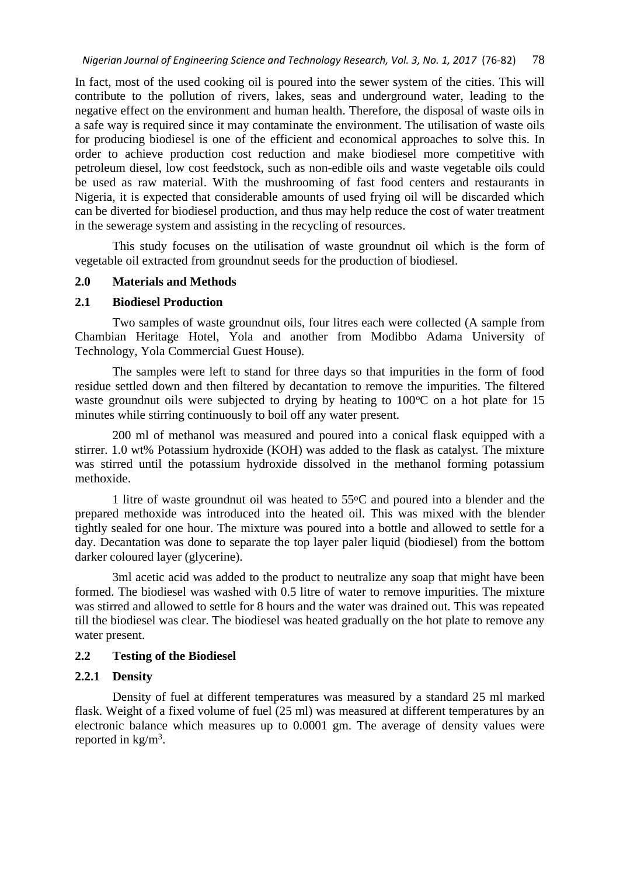In fact, most of the used cooking oil is poured into the sewer system of the cities. This will contribute to the pollution of rivers, lakes, seas and underground water, leading to the negative effect on the environment and human health. Therefore, the disposal of waste oils in a safe way is required since it may contaminate the environment. The utilisation of waste oils for producing biodiesel is one of the efficient and economical approaches to solve this. In order to achieve production cost reduction and make biodiesel more competitive with petroleum diesel, low cost feedstock, such as non-edible oils and waste vegetable oils could be used as raw material. With the mushrooming of fast food centers and restaurants in Nigeria, it is expected that considerable amounts of used frying oil will be discarded which can be diverted for biodiesel production, and thus may help reduce the cost of water treatment in the sewerage system and assisting in the recycling of resources.

This study focuses on the utilisation of waste groundnut oil which is the form of vegetable oil extracted from groundnut seeds for the production of biodiesel.

### **2.0 Materials and Methods**

### **2.1 Biodiesel Production**

Two samples of waste groundnut oils, four litres each were collected (A sample from Chambian Heritage Hotel, Yola and another from Modibbo Adama University of Technology, Yola Commercial Guest House).

The samples were left to stand for three days so that impurities in the form of food residue settled down and then filtered by decantation to remove the impurities. The filtered waste groundnut oils were subjected to drying by heating to  $100^{\circ}$ C on a hot plate for 15 minutes while stirring continuously to boil off any water present.

200 ml of methanol was measured and poured into a conical flask equipped with a stirrer. 1.0 wt% Potassium hydroxide (KOH) was added to the flask as catalyst. The mixture was stirred until the potassium hydroxide dissolved in the methanol forming potassium methoxide.

1 litre of waste groundnut oil was heated to  $55^{\circ}$ C and poured into a blender and the prepared methoxide was introduced into the heated oil. This was mixed with the blender tightly sealed for one hour. The mixture was poured into a bottle and allowed to settle for a day. Decantation was done to separate the top layer paler liquid (biodiesel) from the bottom darker coloured layer (glycerine).

3ml acetic acid was added to the product to neutralize any soap that might have been formed. The biodiesel was washed with 0.5 litre of water to remove impurities. The mixture was stirred and allowed to settle for 8 hours and the water was drained out. This was repeated till the biodiesel was clear. The biodiesel was heated gradually on the hot plate to remove any water present.

# **2.2 Testing of the Biodiesel**

### **2.2.1 Density**

Density of fuel at different temperatures was measured by a standard 25 ml marked flask. Weight of a fixed volume of fuel (25 ml) was measured at different temperatures by an electronic balance which measures up to 0.0001 gm. The average of density values were reported in  $\text{kg/m}^3$ .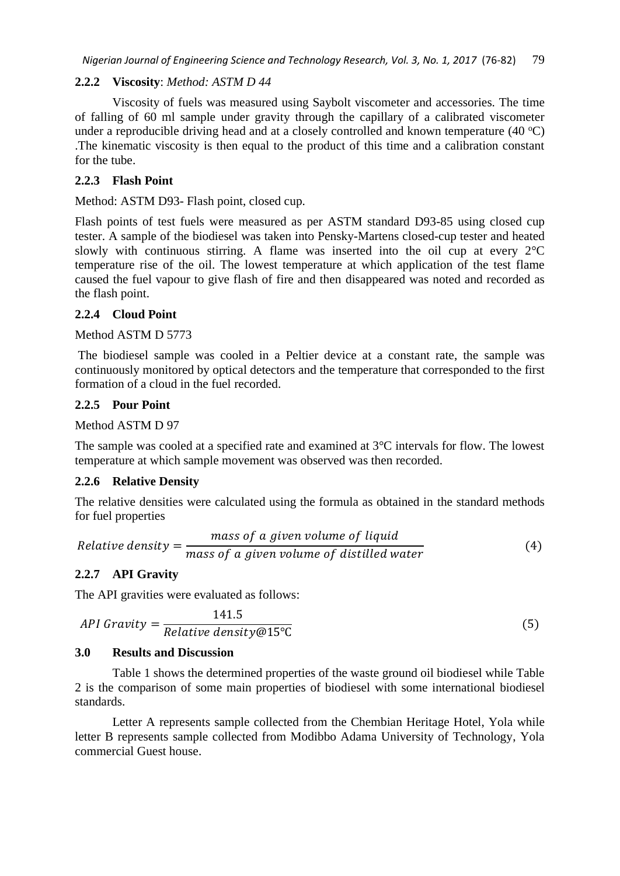# **2.2.2 Viscosity**: *Method: ASTM D 44*

Viscosity of fuels was measured using Saybolt viscometer and accessories. The time of falling of 60 ml sample under gravity through the capillary of a calibrated viscometer under a reproducible driving head and at a closely controlled and known temperature  $(40 \degree C)$ .The kinematic viscosity is then equal to the product of this time and a calibration constant for the tube.

# **2.2.3 Flash Point**

Method: ASTM D93- Flash point, closed cup.

Flash points of test fuels were measured as per ASTM standard D93-85 using closed cup tester. A sample of the biodiesel was taken into Pensky-Martens closed-cup tester and heated slowly with continuous stirring. A flame was inserted into the oil cup at every  $2^{\circ}C$ temperature rise of the oil. The lowest temperature at which application of the test flame caused the fuel vapour to give flash of fire and then disappeared was noted and recorded as the flash point.

# **2.2.4 Cloud Point**

### Method ASTM D 5773

The biodiesel sample was cooled in a Peltier device at a constant rate, the sample was continuously monitored by optical detectors and the temperature that corresponded to the first formation of a cloud in the fuel recorded.

### **2.2.5 Pour Point**

Method ASTM D 97

The sample was cooled at a specified rate and examined at 3°C intervals for flow. The lowest temperature at which sample movement was observed was then recorded.

### **2.2.6 Relative Density**

The relative densities were calculated using the formula as obtained in the standard methods for fuel properties

Relative density = 
$$
\frac{mass \ of \ a \ given \ volume \ of \ liquid}{mass \ of \ a \ given \ volume \ of \ distilled \ water}
$$
 (4)

# **2.2.7 API Gravity**

The API gravities were evaluated as follows:

$$
API Gravity = \frac{141.5}{Relative density@15°C}
$$
 (5)

### **3.0 Results and Discussion**

Table 1 shows the determined properties of the waste ground oil biodiesel while Table 2 is the comparison of some main properties of biodiesel with some international biodiesel standards.

Letter A represents sample collected from the Chembian Heritage Hotel, Yola while letter B represents sample collected from Modibbo Adama University of Technology, Yola commercial Guest house.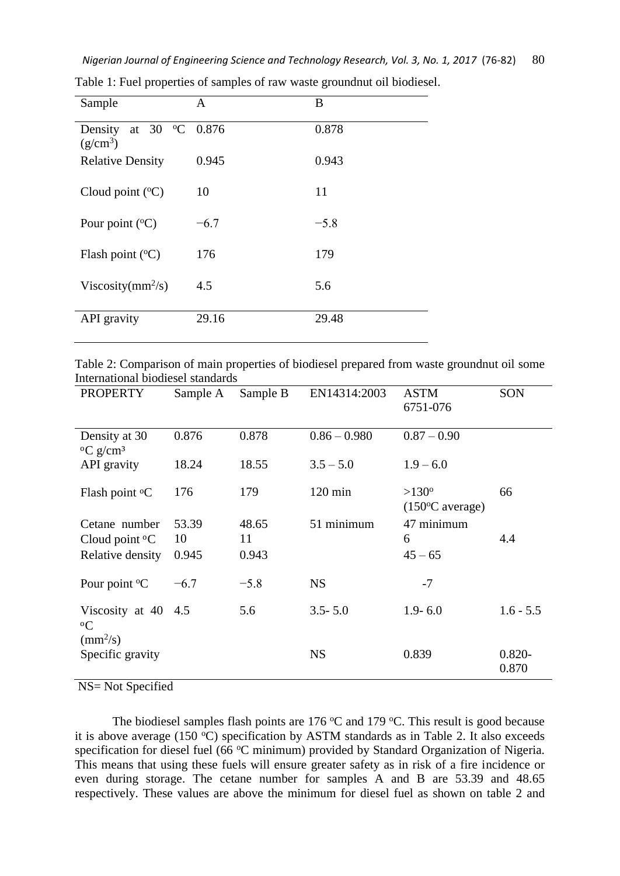| Sample                                           | A      | B      |
|--------------------------------------------------|--------|--------|
| at 30 $\degree$ C 0.876<br>Density<br>$(g/cm^3)$ |        | 0.878  |
| <b>Relative Density</b>                          | 0.945  | 0.943  |
| Cloud point $({}^{\circ}C)$                      | 10     | 11     |
| Pour point $({}^{\circ}C)$                       | $-6.7$ | $-5.8$ |
| Flash point $({}^{\circ}C)$                      | 176    | 179    |
| Viscosity( $mm^2/s$ )                            | 4.5    | 5.6    |
| API gravity                                      | 29.16  | 29.48  |

Table 1: Fuel properties of samples of raw waste groundnut oil biodiesel.

| Table 2: Comparison of main properties of biodiesel prepared from waste groundnut oil some |  |  |  |
|--------------------------------------------------------------------------------------------|--|--|--|
| International biodiesel standards                                                          |  |  |  |

| <b>PROPERTY</b>                                               | Sample A | Sample B | EN14314:2003      | <b>ASTM</b><br>6751-076                     | SON                |
|---------------------------------------------------------------|----------|----------|-------------------|---------------------------------------------|--------------------|
| Density at 30<br>$\rm ^{o}C$ g/cm <sup>3</sup>                | 0.876    | 0.878    | $0.86 - 0.980$    | $0.87 - 0.90$                               |                    |
| API gravity                                                   | 18.24    | 18.55    | $3.5 - 5.0$       | $1.9 - 6.0$                                 |                    |
| Flash point <sup>o</sup> C                                    | 176      | 179      | $120 \text{ min}$ | $>130^{\circ}$<br>$(150^{\circ}$ C average) | 66                 |
| Cetane number                                                 | 53.39    | 48.65    | 51 minimum        | 47 minimum                                  |                    |
| Cloud point ${}^{\circ}C$                                     | 10       | 11       |                   | 6                                           | 4.4                |
| Relative density                                              | 0.945    | 0.943    |                   | $45 - 65$                                   |                    |
| Pour point $\mathrm{C}$                                       | $-6.7$   | $-5.8$   | <b>NS</b>         | $-7$                                        |                    |
| Viscosity at $40\quad 4.5$<br>${}^{\circ}C$<br>$\rm (mm^2/s)$ |          | 5.6      | $3.5 - 5.0$       | $1.9 - 6.0$                                 | $1.6 - 5.5$        |
| Specific gravity                                              |          |          | <b>NS</b>         | 0.839                                       | $0.820 -$<br>0.870 |

NS= Not Specified

The biodiesel samples flash points are 176  $\degree$ C and 179  $\degree$ C. This result is good because it is above average (150 $\degree$ C) specification by ASTM standards as in Table 2. It also exceeds specification for diesel fuel (66 °C minimum) provided by Standard Organization of Nigeria. This means that using these fuels will ensure greater safety as in risk of a fire incidence or even during storage. The cetane number for samples A and B are 53.39 and 48.65 respectively. These values are above the minimum for diesel fuel as shown on table 2 and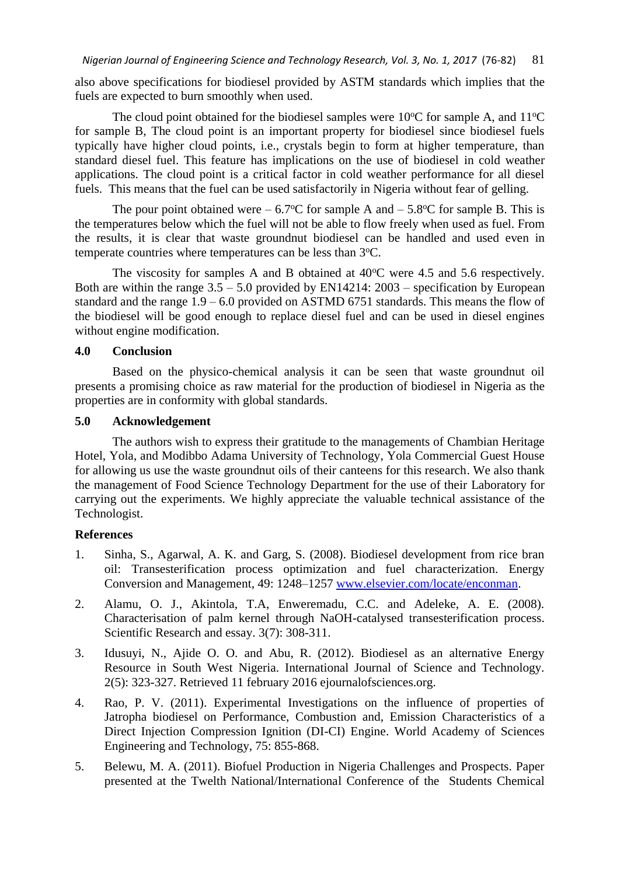also above specifications for biodiesel provided by ASTM standards which implies that the fuels are expected to burn smoothly when used.

The cloud point obtained for the biodiesel samples were  $10^{\circ}$ C for sample A, and  $11^{\circ}$ C for sample B, The cloud point is an important property for biodiesel since biodiesel fuels typically have higher cloud points, i.e., crystals begin to form at higher temperature, than standard diesel fuel. This feature has implications on the use of biodiesel in cold weather applications. The cloud point is a critical factor in cold weather performance for all diesel fuels. This means that the fuel can be used satisfactorily in Nigeria without fear of gelling.

The pour point obtained were  $-6.7$ °C for sample A and  $-5.8$ °C for sample B. This is the temperatures below which the fuel will not be able to flow freely when used as fuel. From the results, it is clear that waste groundnut biodiesel can be handled and used even in temperate countries where temperatures can be less than 3°C.

The viscosity for samples A and B obtained at  $40^{\circ}$ C were 4.5 and 5.6 respectively. Both are within the range  $3.5 - 5.0$  provided by EN14214:  $2003$  – specification by European standard and the range 1.9 – 6.0 provided on ASTMD 6751 standards. This means the flow of the biodiesel will be good enough to replace diesel fuel and can be used in diesel engines without engine modification.

# **4.0 Conclusion**

Based on the physico-chemical analysis it can be seen that waste groundnut oil presents a promising choice as raw material for the production of biodiesel in Nigeria as the properties are in conformity with global standards.

# **5.0 Acknowledgement**

The authors wish to express their gratitude to the managements of Chambian Heritage Hotel, Yola, and Modibbo Adama University of Technology, Yola Commercial Guest House for allowing us use the waste groundnut oils of their canteens for this research. We also thank the management of Food Science Technology Department for the use of their Laboratory for carrying out the experiments. We highly appreciate the valuable technical assistance of the Technologist.

# **References**

- 1. Sinha, S., Agarwal, A. K. and Garg, S. (2008). Biodiesel development from rice bran oil: Transesterification process optimization and fuel characterization. Energy Conversion and Management, 49: 1248–1257 [www.elsevier.com/locate/enconman.](http://www.elsevier.com/locate/enconman)
- 2. Alamu, O. J., Akintola, T.A, Enweremadu, C.C. and Adeleke, A. E. (2008). Characterisation of palm kernel through NaOH-catalysed transesterification process. Scientific Research and essay. 3(7): 308-311.
- 3. Idusuyi, N., Ajide O. O. and Abu, R. (2012). Biodiesel as an alternative Energy Resource in South West Nigeria. International Journal of Science and Technology. 2(5): 323-327. Retrieved 11 february 2016 ejournalofsciences.org.
- 4. Rao, P. V. (2011). Experimental Investigations on the influence of properties of Jatropha biodiesel on Performance, Combustion and, Emission Characteristics of a Direct Injection Compression Ignition (DI-CI) Engine. World Academy of Sciences Engineering and Technology, 75: 855-868.
- 5. Belewu, M. A. (2011). Biofuel Production in Nigeria Challenges and Prospects. Paper presented at the Twelth National/International Conference of the Students Chemical